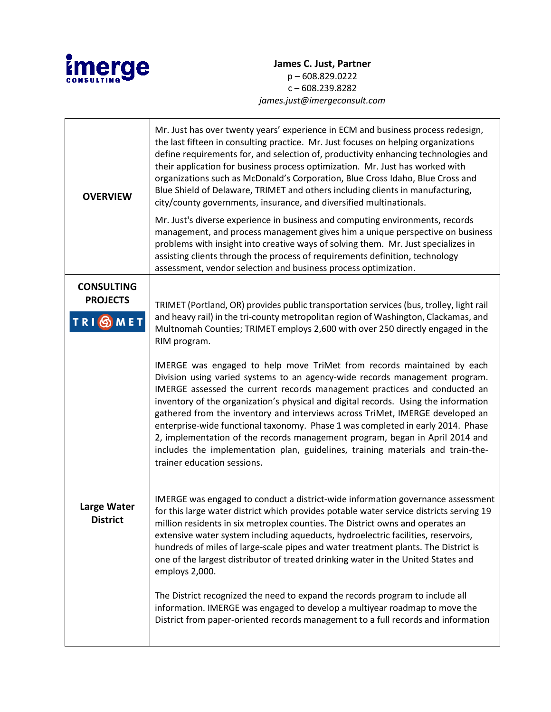

## **James C. Just, Partner** p – 608.829.0222  $c - 608.239.8282$ *james.just@imergeconsult.com*

| <b>OVERVIEW</b>                       | Mr. Just has over twenty years' experience in ECM and business process redesign,<br>the last fifteen in consulting practice. Mr. Just focuses on helping organizations<br>define requirements for, and selection of, productivity enhancing technologies and<br>their application for business process optimization. Mr. Just has worked with<br>organizations such as McDonald's Corporation, Blue Cross Idaho, Blue Cross and<br>Blue Shield of Delaware, TRIMET and others including clients in manufacturing,<br>city/county governments, insurance, and diversified multinationals.<br>Mr. Just's diverse experience in business and computing environments, records<br>management, and process management gives him a unique perspective on business<br>problems with insight into creative ways of solving them. Mr. Just specializes in<br>assisting clients through the process of requirements definition, technology<br>assessment, vendor selection and business process optimization. |
|---------------------------------------|----------------------------------------------------------------------------------------------------------------------------------------------------------------------------------------------------------------------------------------------------------------------------------------------------------------------------------------------------------------------------------------------------------------------------------------------------------------------------------------------------------------------------------------------------------------------------------------------------------------------------------------------------------------------------------------------------------------------------------------------------------------------------------------------------------------------------------------------------------------------------------------------------------------------------------------------------------------------------------------------------|
| <b>CONSULTING</b>                     |                                                                                                                                                                                                                                                                                                                                                                                                                                                                                                                                                                                                                                                                                                                                                                                                                                                                                                                                                                                                    |
| <b>PROJECTS</b><br><b>TRIGMET</b>     | TRIMET (Portland, OR) provides public transportation services (bus, trolley, light rail<br>and heavy rail) in the tri-county metropolitan region of Washington, Clackamas, and<br>Multnomah Counties; TRIMET employs 2,600 with over 250 directly engaged in the<br>RIM program.                                                                                                                                                                                                                                                                                                                                                                                                                                                                                                                                                                                                                                                                                                                   |
|                                       | IMERGE was engaged to help move TriMet from records maintained by each<br>Division using varied systems to an agency-wide records management program.<br>IMERGE assessed the current records management practices and conducted an<br>inventory of the organization's physical and digital records. Using the information<br>gathered from the inventory and interviews across TriMet, IMERGE developed an<br>enterprise-wide functional taxonomy. Phase 1 was completed in early 2014. Phase<br>2, implementation of the records management program, began in April 2014 and<br>includes the implementation plan, guidelines, training materials and train-the-<br>trainer education sessions.                                                                                                                                                                                                                                                                                                    |
| <b>Large Water</b><br><b>District</b> | IMERGE was engaged to conduct a district-wide information governance assessment<br>for this large water district which provides potable water service districts serving 19<br>million residents in six metroplex counties. The District owns and operates an<br>extensive water system including aqueducts, hydroelectric facilities, reservoirs,<br>hundreds of miles of large-scale pipes and water treatment plants. The District is<br>one of the largest distributor of treated drinking water in the United States and<br>employs 2,000.                                                                                                                                                                                                                                                                                                                                                                                                                                                     |
|                                       | The District recognized the need to expand the records program to include all<br>information. IMERGE was engaged to develop a multiyear roadmap to move the<br>District from paper-oriented records management to a full records and information                                                                                                                                                                                                                                                                                                                                                                                                                                                                                                                                                                                                                                                                                                                                                   |